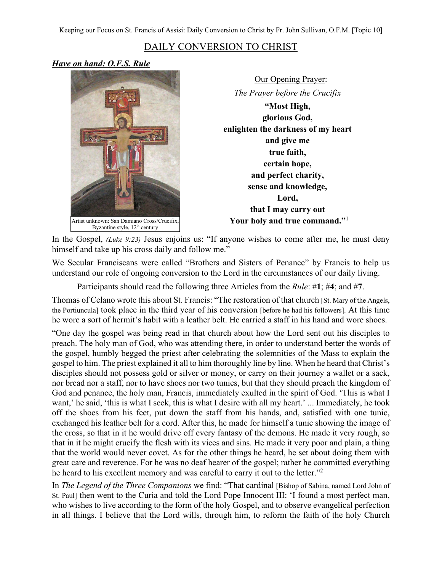## DAILY CONVERSION TO CHRIST

## *Have on hand: O.F.S. Rule*



Our Opening Prayer: *The Prayer before the Crucifix* **"Most High, glorious God, enlighten the darkness of my heart and give me true faith, certain hope, and perfect charity, sense and knowledge, Lord, that I may carry out Your holy and true command."**<sup>1</sup>

In the Gospel, *(Luke 9:23)* Jesus enjoins us: "If anyone wishes to come after me, he must deny himself and take up his cross daily and follow me."

We Secular Franciscans were called "Brothers and Sisters of Penance" by Francis to help us understand our role of ongoing conversion to the Lord in the circumstances of our daily living.

Participants should read the following three Articles from the *Rule*: #**1**; #**4**; and #**7**.

Thomas of Celano wrote this about St. Francis: "The restoration of that church [St. Mary of the Angels, the Portiuncula] took place in the third year of his conversion [before he had his followers]. At this time he wore a sort of hermit's habit with a leather belt. He carried a staff in his hand and wore shoes.

"One day the gospel was being read in that church about how the Lord sent out his disciples to preach. The holy man of God, who was attending there, in order to understand better the words of the gospel, humbly begged the priest after celebrating the solemnities of the Mass to explain the gospel to him. The priest explained it all to him thoroughly line by line. When he heard that Christ's disciples should not possess gold or silver or money, or carry on their journey a wallet or a sack, nor bread nor a staff, nor to have shoes nor two tunics, but that they should preach the kingdom of God and penance, the holy man, Francis, immediately exulted in the spirit of God. 'This is what I want,' he said, 'this is what I seek, this is what I desire with all my heart.' ... Immediately, he took off the shoes from his feet, put down the staff from his hands, and, satisfied with one tunic, exchanged his leather belt for a cord. After this, he made for himself a tunic showing the image of the cross, so that in it he would drive off every fantasy of the demons. He made it very rough, so that in it he might crucify the flesh with its vices and sins. He made it very poor and plain, a thing that the world would never covet. As for the other things he heard, he set about doing them with great care and reverence. For he was no deaf hearer of the gospel; rather he committed everything he heard to his excellent memory and was careful to carry it out to the letter."2

In *The Legend of the Three Companions* we find: "That cardinal [Bishop of Sabina, named Lord John of St. Paul] then went to the Curia and told the Lord Pope Innocent III: 'I found a most perfect man, who wishes to live according to the form of the holy Gospel, and to observe evangelical perfection in all things. I believe that the Lord wills, through him, to reform the faith of the holy Church